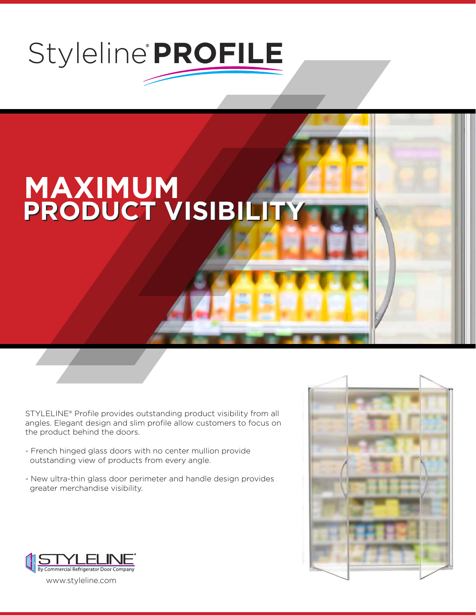## Styleline<sup>®</sup>PROFILE

## **MAXIMUM PRODUCT VISIBILITY PRODUCT VISIBILITY**

STYLELINE® Profile provides outstanding product visibility from all angles. Elegant design and slim profile allow customers to focus on the product behind the doors.

- French hinged glass doors with no center mullion provide outstanding view of products from every angle.
- New ultra-thin glass door perimeter and handle design provides greater merchandise visibility.